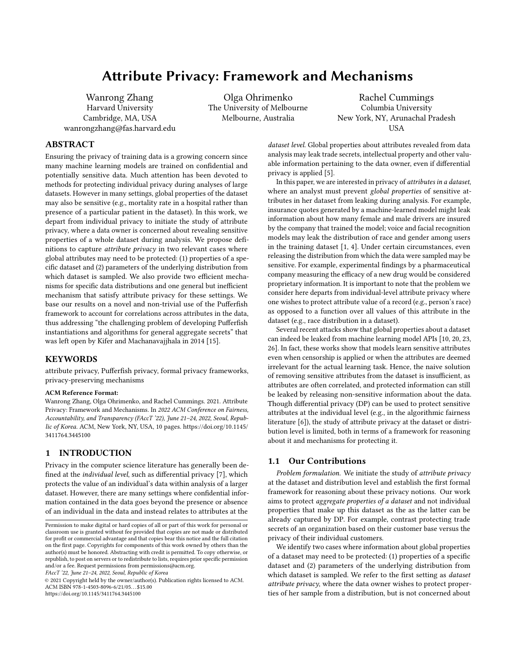# Attribute Privacy: Framework and Mechanisms

Wanrong Zhang Harvard University Cambridge, MA, USA wanrongzhang@fas.harvard.edu

Olga Ohrimenko The University of Melbourne Melbourne, Australia

Rachel Cummings Columbia University New York, NY, Arunachal Pradesh **IISA** 

# ABSTRACT

Ensuring the privacy of training data is a growing concern since many machine learning models are trained on confidential and potentially sensitive data. Much attention has been devoted to methods for protecting individual privacy during analyses of large datasets. However in many settings, global properties of the dataset may also be sensitive (e.g., mortality rate in a hospital rather than presence of a particular patient in the dataset). In this work, we depart from individual privacy to initiate the study of attribute privacy, where a data owner is concerned about revealing sensitive properties of a whole dataset during analysis. We propose definitions to capture attribute privacy in two relevant cases where global attributes may need to be protected: (1) properties of a specific dataset and (2) parameters of the underlying distribution from which dataset is sampled. We also provide two efficient mechanisms for specific data distributions and one general but inefficient mechanism that satisfy attribute privacy for these settings. We base our results on a novel and non-trivial use of the Pufferfish framework to account for correlations across attributes in the data, thus addressing "the challenging problem of developing Pufferfish instantiations and algorithms for general aggregate secrets" that was left open by Kifer and Machanavajjhala in 2014 [\[15\]](#page-9-0).

#### **KEYWORDS**

attribute privacy, Pufferfish privacy, formal privacy frameworks, privacy-preserving mechanisms

#### ACM Reference Format:

Wanrong Zhang, Olga Ohrimenko, and Rachel Cummings. 2021. Attribute Privacy: Framework and Mechanisms. In 2022 ACM Conference on Fairness, Accountability, and Transparency (FAccT '22), June 21–24, 2022, Seoul, Republic of Korea. ACM, New York, NY, USA, [10](#page-9-1) pages. [https://doi.org/10.1145/](https://doi.org/10.1145/3411764.3445100) [3411764.3445100](https://doi.org/10.1145/3411764.3445100)

## 1 INTRODUCTION

Privacy in the computer science literature has generally been defined at the individual level, such as differential privacy [\[7\]](#page-9-2), which protects the value of an individual's data within analysis of a larger dataset. However, there are many settings where confidential information contained in the data goes beyond the presence or absence of an individual in the data and instead relates to attributes at the

FAccT '22, June 21–24, 2022, Seoul, Republic of Korea

© 2021 Copyright held by the owner/author(s). Publication rights licensed to ACM. ACM ISBN 978-1-4503-8096-6/21/05. . . \$15.00 <https://doi.org/10.1145/3411764.3445100>

dataset level. Global properties about attributes revealed from data analysis may leak trade secrets, intellectual property and other valuable information pertaining to the data owner, even if differential privacy is applied [\[5\]](#page-9-3).

In this paper, we are interested in privacy of attributes in a dataset, where an analyst must prevent global properties of sensitive attributes in her dataset from leaking during analysis. For example, insurance quotes generated by a machine-learned model might leak information about how many female and male drivers are insured by the company that trained the model; voice and facial recognition models may leak the distribution of race and gender among users in the training dataset [\[1,](#page-9-4) [4\]](#page-9-5). Under certain circumstances, even releasing the distribution from which the data were sampled may be sensitive. For example, experimental findings by a pharmaceutical company measuring the efficacy of a new drug would be considered proprietary information. It is important to note that the problem we consider here departs from individual-level attribute privacy where one wishes to protect attribute value of a record (e.g., person's race) as opposed to a function over all values of this attribute in the dataset (e.g., race distribution in a dataset).

Several recent attacks show that global properties about a dataset can indeed be leaked from machine learning model APIs [\[10,](#page-9-6) [20,](#page-9-7) [23,](#page-9-8) [26\]](#page-9-9). In fact, these works show that models learn sensitive attributes even when censorship is applied or when the attributes are deemed irrelevant for the actual learning task. Hence, the naive solution of removing sensitive attributes from the dataset is insufficient, as attributes are often correlated, and protected information can still be leaked by releasing non-sensitive information about the data. Though differential privacy (DP) can be used to protect sensitive attributes at the individual level (e.g., in the algorithmic fairness literature [\[6\]](#page-9-10)), the study of attribute privacy at the dataset or distribution level is limited, both in terms of a framework for reasoning about it and mechanisms for protecting it.

## 1.1 Our Contributions

Problem formulation. We initiate the study of attribute privacy at the dataset and distribution level and establish the first formal framework for reasoning about these privacy notions. Our work aims to protect aggregate properties of a dataset and not individual properties that make up this dataset as the as the latter can be already captured by DP. For example, contrast protecting trade secrets of an organization based on their customer base versus the privacy of their individual customers.

We identify two cases where information about global properties of a dataset may need to be protected: (1) properties of a specific dataset and (2) parameters of the underlying distribution from which dataset is sampled. We refer to the first setting as dataset attribute privacy, where the data owner wishes to protect properties of her sample from a distribution, but is not concerned about

Permission to make digital or hard copies of all or part of this work for personal or classroom use is granted without fee provided that copies are not made or distributed for profit or commercial advantage and that copies bear this notice and the full citation on the first page. Copyrights for components of this work owned by others than the author(s) must be honored. Abstracting with credit is permitted. To copy otherwise, or republish, to post on servers or to redistribute to lists, requires prior specific permission and/or a fee. Request permissions from permissions@acm.org.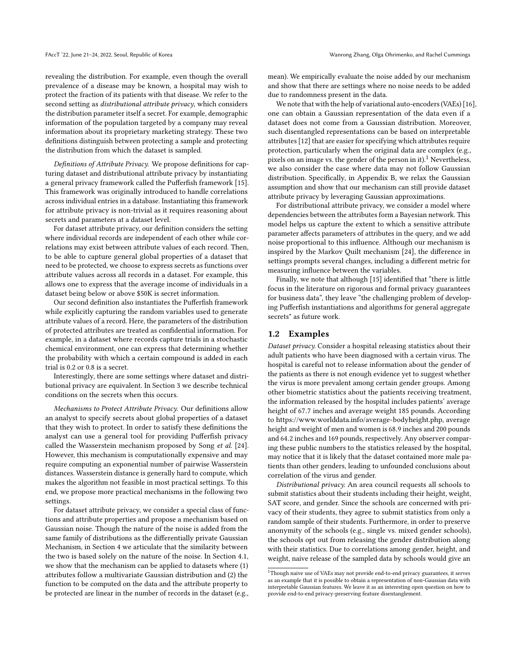revealing the distribution. For example, even though the overall prevalence of a disease may be known, a hospital may wish to protect the fraction of its patients with that disease. We refer to the second setting as distributional attribute privacy, which considers the distribution parameter itself a secret. For example, demographic information of the population targeted by a company may reveal information about its proprietary marketing strategy. These two definitions distinguish between protecting a sample and protecting the distribution from which the dataset is sampled.

Definitions of Attribute Privacy. We propose definitions for capturing dataset and distributional attribute privacy by instantiating a general privacy framework called the Pufferfish framework [\[15\]](#page-9-0). This framework was originally introduced to handle correlations across individual entries in a database. Instantiating this framework for attribute privacy is non-trivial as it requires reasoning about secrets and parameters at a dataset level.

For dataset attribute privacy, our definition considers the setting where individual records are independent of each other while correlations may exist between attribute values of each record. Then, to be able to capture general global properties of a dataset that need to be protected, we choose to express secrets as functions over attribute values across all records in a dataset. For example, this allows one to express that the average income of individuals in a dataset being below or above \$50K is secret information.

Our second definition also instantiates the Pufferfish framework while explicitly capturing the random variables used to generate attribute values of a record. Here, the parameters of the distribution of protected attributes are treated as confidential information. For example, in a dataset where records capture trials in a stochastic chemical environment, one can express that determining whether the probability with which a certain compound is added in each trial is 0.2 or 0.8 is a secret.

Interestingly, there are some settings where dataset and distributional privacy are equivalent. In Section [3](#page-3-0) we describe technical conditions on the secrets when this occurs.

Mechanisms to Protect Attribute Privacy. Our definitions allow an analyst to specify secrets about global properties of a dataset that they wish to protect. In order to satisfy these definitions the analyst can use a general tool for providing Pufferfish privacy called the Wasserstein mechanism proposed by Song et al. [\[24\]](#page-9-11). However, this mechanism is computationally expensive and may require computing an exponential number of pairwise Wasserstein distances. Wasserstein distance is generally hard to compute, which makes the algorithm not feasible in most practical settings. To this end, we propose more practical mechanisms in the following two settings.

For dataset attribute privacy, we consider a special class of functions and attribute properties and propose a mechanism based on Gaussian noise. Though the nature of the noise is added from the same family of distributions as the differentially private Gaussian Mechanism, in Section [4](#page-5-0) we articulate that the similarity between the two is based solely on the nature of the noise. In Section [4.1,](#page-5-1) we show that the mechanism can be applied to datasets where (1) attributes follow a multivariate Gaussian distribution and (2) the function to be computed on the data and the attribute property to be protected are linear in the number of records in the dataset (e.g., mean). We empirically evaluate the noise added by our mechanism and show that there are settings where no noise needs to be added due to randomness present in the data.

We note that with the help of variational auto-encoders (VAEs) [\[16\]](#page-9-12), one can obtain a Gaussian representation of the data even if a dataset does not come from a Gaussian distribution. Moreover, such disentangled representations can be based on interpretable attributes [\[12\]](#page-9-13) that are easier for specifying which attributes require protection, particularly when the original data are complex (e.g., pixels on an image vs. the gender of the person in it).<sup>[1](#page-1-0)</sup> Nevertheless, we also consider the case where data may not follow Gaussian distribution. Specifically, in Appendix B, we relax the Gaussian assumption and show that our mechanism can still provide dataset attribute privacy by leveraging Gaussian approximations.

For distributional attribute privacy, we consider a model where dependencies between the attributes form a Bayesian network. This model helps us capture the extent to which a sensitive attribute parameter affects parameters of attributes in the query, and we add noise proportional to this influence. Although our mechanism is inspired by the Markov Quilt mechanism [\[24\]](#page-9-11), the difference in settings prompts several changes, including a different metric for measuring influence between the variables.

Finally, we note that although [\[15\]](#page-9-0) identified that "there is little focus in the literature on rigorous and formal privacy guarantees for business data", they leave "the challenging problem of developing Pufferfish instantiations and algorithms for general aggregate secrets" as future work.

## 1.2 Examples

Dataset privacy. Consider a hospital releasing statistics about their adult patients who have been diagnosed with a certain virus. The hospital is careful not to release information about the gender of the patients as there is not enough evidence yet to suggest whether the virus is more prevalent among certain gender groups. Among other biometric statistics about the patients receiving treatment, the information released by the hospital includes patients' average height of <sup>67</sup>.<sup>7</sup> inches and average weight <sup>185</sup> pounds. According to [https://www.worlddata.info/average-bodyheight.php,](https://www.worlddata.info/average-bodyheight.php) average height and weight of men and women is <sup>68</sup>.<sup>9</sup> inches and 200 pounds and <sup>64</sup>.<sup>2</sup> inches and <sup>169</sup> pounds, respectively. Any observer comparing these public numbers to the statistics released by the hospital, may notice that it is likely that the dataset contained more male patients than other genders, leading to unfounded conclusions about correlation of the virus and gender.

Distributional privacy. An area council requests all schools to submit statistics about their students including their height, weight, SAT score, and gender. Since the schools are concerned with privacy of their students, they agree to submit statistics from only a random sample of their students. Furthermore, in order to preserve anonymity of the schools (e.g., single vs. mixed gender schools), the schools opt out from releasing the gender distribution along with their statistics. Due to correlations among gender, height, and weight, naive release of the sampled data by schools would give an

<span id="page-1-0"></span> $10^{11}$  Though naive use of VAEs may not provide end-to-end privacy guarantees, it serves as an example that it is possible to obtain a representation of non-Gaussian data with interpretable Gaussian features. We leave it as an interesting open question on how to provide end-to-end privacy-preserving feature disentanglement.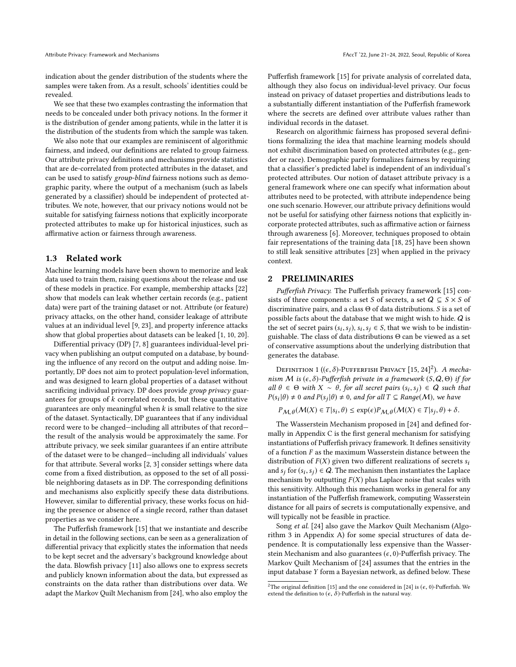indication about the gender distribution of the students where the samples were taken from. As a result, schools' identities could be revealed.

We see that these two examples contrasting the information that needs to be concealed under both privacy notions. In the former it is the distribution of gender among patients, while in the latter it is the distribution of the students from which the sample was taken.

We also note that our examples are reminiscent of algorithmic fairness, and indeed, our definitions are related to group fairness. Our attribute privacy definitions and mechanisms provide statistics that are de-correlated from protected attributes in the dataset, and can be used to satisfy group-blind fairness notions such as demographic parity, where the output of a mechanism (such as labels generated by a classifier) should be independent of protected attributes. We note, however, that our privacy notions would not be suitable for satisfying fairness notions that explicitly incorporate protected attributes to make up for historical injustices, such as affirmative action or fairness through awareness.

### 1.3 Related work

Machine learning models have been shown to memorize and leak data used to train them, raising questions about the release and use of these models in practice. For example, membership attacks [\[22\]](#page-9-14) show that models can leak whether certain records (e.g., patient data) were part of the training dataset or not. Attribute (or feature) privacy attacks, on the other hand, consider leakage of attribute values at an individual level [\[9,](#page-9-15) [23\]](#page-9-8), and property inference attacks show that global properties about datasets can be leaked [\[1,](#page-9-4) [10,](#page-9-6) [20\]](#page-9-7).

Differential privacy (DP) [\[7,](#page-9-2) [8\]](#page-9-16) guarantees individual-level privacy when publishing an output computed on a database, by bounding the influence of any record on the output and adding noise. Importantly, DP does not aim to protect population-level information, and was designed to learn global properties of a dataset without sacrificing individual privacy. DP does provide group privacy guarantees for groups of  $k$  correlated records, but these quantitative guarantees are only meaningful when  $k$  is small relative to the size of the dataset. Syntactically, DP guarantees that if any individual record were to be changed—including all attributes of that record the result of the analysis would be approximately the same. For attribute privacy, we seek similar guarantees if an entire attribute of the dataset were to be changed—including all individuals' values for that attribute. Several works [\[2,](#page-9-17) [3\]](#page-9-18) consider settings where data come from a fixed distribution, as opposed to the set of all possible neighboring datasets as in DP. The corresponding definitions and mechanisms also explicitly specify these data distributions. However, similar to differential privacy, these works focus on hiding the presence or absence of a single record, rather than dataset properties as we consider here.

The Pufferfish framework [\[15\]](#page-9-0) that we instantiate and describe in detail in the following sections, can be seen as a generalization of differential privacy that explicitly states the information that needs to be kept secret and the adversary's background knowledge about the data. Blowfish privacy [\[11\]](#page-9-19) also allows one to express secrets and publicly known information about the data, but expressed as constraints on the data rather than distributions over data. We adapt the Markov Quilt Mechanism from [\[24\]](#page-9-11), who also employ the Pufferfish framework [\[15\]](#page-9-0) for private analysis of correlated data, although they also focus on individual-level privacy. Our focus instead on privacy of dataset properties and distributions leads to a substantially different instantiation of the Pufferfish framework where the secrets are defined over attribute values rather than individual records in the dataset.

Research on algorithmic fairness has proposed several definitions formalizing the idea that machine learning models should not exhibit discrimination based on protected attributes (e.g., gender or race). Demographic parity formalizes fairness by requiring that a classifier's predicted label is independent of an individual's protected attributes. Our notion of dataset attribute privacy is a general framework where one can specify what information about attributes need to be protected, with attribute independence being one such scenario. However, our attribute privacy definitions would not be useful for satisfying other fairness notions that explicitly incorporate protected attributes, such as affirmative action or fairness through awareness [\[6\]](#page-9-10). Moreover, techniques proposed to obtain fair representations of the training data [\[18,](#page-9-20) [25\]](#page-9-21) have been shown to still leak sensitive attributes [\[23\]](#page-9-8) when applied in the privacy context.

## <span id="page-2-2"></span>2 PRELIMINARIES

Pufferfish Privacy. The Pufferfish privacy framework [\[15\]](#page-9-0) consists of three components: a set S of secrets, a set  $Q \subseteq S \times S$  of discriminative pairs, and a class Θ of data distributions. S is a set of possible facts about the database that we might wish to hide. Q is the set of secret pairs  $(s_i, s_j)$ ,  $s_i, s_j \in S$ , that we wish to be indistin-<br>quichable. The class of data distributions  $\Theta$  can be viewed as a set guishable. The class of data distributions Θ can be viewed as a set of conservative assumptions about the underlying distribution that generates the database.

<span id="page-2-1"></span>DEFINITION 1  $((\epsilon, \delta)$ -PUFFERFISH PRIVACY  $[15, 24]^2$  $[15, 24]^2$  $[15, 24]^2$  $[15, 24]^2$  $[15, 24]^2$ ). A mecha-<br>un M is  $(\epsilon, \delta)$ -Pufferfish private in a framework  $(S, \Omega, \Theta)$  if for nism M is  $(\epsilon, \delta)$ -Pufferfish private in a framework  $(S, Q, \Theta)$  if for all  $\theta \in \Theta$  with  $X \sim \theta$ , for all secret pairs  $(s_i, s_j) \in \mathbf{Q}$  such that  $P(s, |\theta) \neq 0$  and  $P(s, |\theta) \neq 0$  and for all  $T \subseteq Range(M)$  we have  $P(s_i|\theta) \neq 0$  and  $P(s_j|\theta) \neq 0$ , and for all  $T \subseteq Range(M)$ , we have

 $P_{\mathcal{M}, \theta}(\mathcal{M}(X) \in T | s_i, \theta) \le \exp(\epsilon) P_{\mathcal{M}, \theta}(\mathcal{M}(X) \in T | s_j, \theta) + \delta.$ 

The Wasserstein Mechanism proposed in [\[24\]](#page-9-11) and defined formally in Appendix C is the first general mechanism for satisfying instantiations of Pufferfish privacy framework. It defines sensitivity of a function  $F$  as the maximum Wasserstein distance between the distribution of  $F(X)$  given two different realizations of secrets  $s_i$ and  $s_j$  for  $(s_i, s_j) \in Q$ . The mechanism then instantiates the Laplace<br>mechanism by outputting  $F(Y)$  plus Laplace poise that scales with mechanism by outputting  $F(X)$  plus Laplace noise that scales with this sensitivity. Although this mechanism works in general for any instantiation of the Pufferfish framework, computing Wasserstein distance for all pairs of secrets is computationally expensive, and will typically not be feasible in practice.

Song et al. [\[24\]](#page-9-11) also gave the Markov Quilt Mechanism (Algorithm 3 in Appendix A) for some special structures of data dependence. It is computationally less expensive than the Wasserstein Mechanism and also guarantees  $(\epsilon, 0)$ -Pufferfish privacy. The Markov Quilt Mechanism of [\[24\]](#page-9-11) assumes that the entries in the input database Y form a Bayesian network, as defined below. These

<span id="page-2-0"></span><sup>&</sup>lt;sup>2</sup>The original definition [\[15\]](#page-9-0) and the one considered in [\[24\]](#page-9-11) is  $(\epsilon, 0)$ -Pufferfish. We extend the definition to  $(\epsilon, \delta)$ -Pufferfish in the natural way.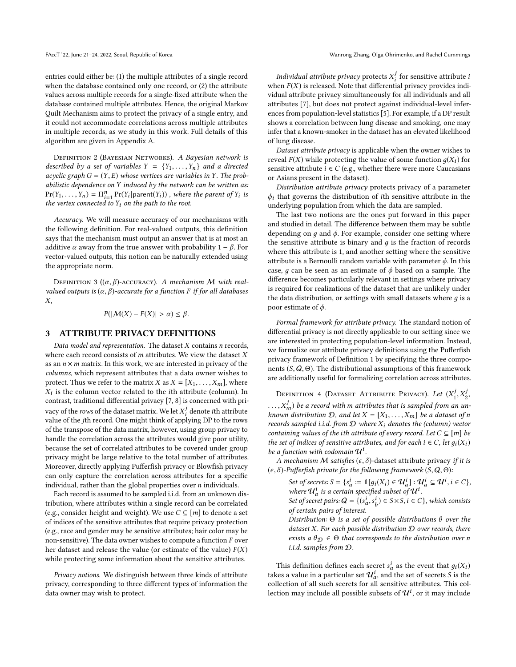entries could either be: (1) the multiple attributes of a single record when the database contained only one record, or (2) the attribute values across multiple records for a single-fixed attribute when the database contained multiple attributes. Hence, the original Markov Quilt Mechanism aims to protect the privacy of a single entry, and it could not accommodate correlations across multiple attributes in multiple records, as we study in this work. Full details of this algorithm are given in Appendix A.

DEFINITION 2 (BAYESIAN NETWORKS). A Bayesian network is described by a set of variables  $Y = \{Y_1, \ldots, Y_n\}$  and a directed acyclic graph  $G = (Y, E)$  whose vertices are variables in Y. The probabilistic dependence on Y induced by the network can be written as:  $Pr(Y_1, \ldots, Y_n) = \prod_{i=1}^n Pr(Y_i | parent(Y_i))$ , where the parent of  $Y_i$  is the vertex connected to  $Y_i$  on the path to the root  $i=1$ <br>d to the vertex connected to  $Y_i$  on the path to the root.

Accuracy. We will measure accuracy of our mechanisms with the following definition. For real-valued outputs, this definition says that the mechanism must output an answer that is at most an additive  $\alpha$  away from the true answer with probability 1 –  $\beta$ . For vector-valued outputs, this notion can be naturally extended using the appropriate norm.

DEFINITION 3 ( $(\alpha, \beta)$ -ACCURACY). A mechanism M with realvalued outputs is  $(\alpha, \beta)$ -accurate for a function F if for all databases X,

 $P(|\mathcal{M}(X) - F(X)| > \alpha) \leq \beta.$ 

## <span id="page-3-0"></span>3 ATTRIBUTE PRIVACY DEFINITIONS

Data model and representation. The dataset  $X$  contains  $n$  records, where each record consists of  $m$  attributes. We view the dataset  $X$ as an  $n \times m$  matrix. In this work, we are interested in privacy of the columns, which represent attributes that a data owner wishes to protect. Thus we refer to the matrix X as  $X = [X_1, \ldots, X_m]$ , where Xi contrast, traditional differential privacy [\[7,](#page-9-2) [8\]](#page-9-16) is concerned with pri- $X_i$  is the column vector related to the *i*th attribute (column). In vacy of the rows of the dataset matrix. We let  $X_i^j$  denote ith attribute value of the ith record. One might think of applying DP to the rows value of the *j*th record. One might think of applying DP to the rows<br>of the transpose of the data matrix, however, using group privacy to of the transpose of the data matrix, however, using group privacy to handle the correlation across the attributes would give poor utility, because the set of correlated attributes to be covered under group privacy might be large relative to the total number of attributes. Moreover, directly applying Pufferfish privacy or Blowfish privacy can only capture the correlation across attributes for a specific individual, rather than the global properties over  $n$  individuals.

Each record is assumed to be sampled i.i.d. from an unknown distribution, where attributes within a single record can be correlated (e.g., consider height and weight). We use  $C \subseteq [m]$  to denote a set of indices of the sensitive attributes that require privacy protection (e.g., race and gender may be sensitive attributes; hair color may be non-sensitive). The data owner wishes to compute a function F over her dataset and release the value (or estimate of the value)  $F(X)$ while protecting some information about the sensitive attributes.

Privacy notions. We distinguish between three kinds of attribute privacy, corresponding to three different types of information the data owner may wish to protect.

*Individual attribute privacy* protects  $X_i^j$  for sensitive attribute *i*  $f_i(x)$  is released. Note that differential privacy provides indiwhen  $F(X)$  is released. Note that differential privacy provides indi-<br>vidual attribute privacy simultaneously for all individuals and all vidual attribute privacy simultaneously for all individuals and all attributes [\[7\]](#page-9-2), but does not protect against individual-level inferences from population-level statistics [\[5\]](#page-9-3). For example, if a DP result shows a correlation between lung disease and smoking, one may infer that a known-smoker in the dataset has an elevated likelihood of lung disease.

Dataset attribute privacy is applicable when the owner wishes to reveal  $F(X)$  while protecting the value of some function  $q(X_i)$  for sensitive attribute  $i \in C$  (e.g., whether there were more Caucasians or Asians present in the dataset).

Distribution attribute privacy protects privacy of a parameter  $\phi_i$  that governs the distribution of *i*th sensitive attribute in the underlying population from which the data are sampled.

The last two notions are the ones put forward in this paper and studied in detail. The difference between them may be subtle depending on  $q$  and  $\phi$ . For example, consider one setting where the sensitive attribute is binary and  $q$  is the fraction of records where this attribute is 1, and another setting where the sensitive attribute is a Bernoulli random variable with parameter  $\phi$ . In this case, q can be seen as an estimate of  $\phi$  based on a sample. The difference becomes particularly relevant in settings where privacy is required for realizations of the dataset that are unlikely under the data distribution, or settings with small datasets where  $q$  is a poor estimate of  $\phi$ .

Formal framework for attribute privacy. The standard notion of differential privacy is not directly applicable to our setting since we are interested in protecting population-level information. Instead, we formalize our attribute privacy definitions using the Pufferfish privacy framework of Definition [1](#page-2-1) by specifying the three components  $(S, Q, \Theta)$ . The distributional assumptions of this framework are additionally useful for formalizing correlation across attributes.

<span id="page-3-1"></span>DEFINITION 4 (DATASET ATTRIBUTE PRIVACY). Let  $(X_1^j, X_2^j)$ 

 $j_m$ ) be a record with m attributes that is sampled from an un-<br>m distribution D, and let  $X - [X, X_m]$  be a dataset of n known distribution D, and let  $X = [X_1, \ldots, X_m]$  be a dataset of n<br>records sampled i i d, from D where X, denotes the (column) yester records sampled i.i.d. from  $D$  where  $X_i$  denotes the (column) vector containing values of the ith attribute of every record. Let  $C \subseteq [m]$  be the set of indices of sensitive attributes, and for each  $i \in C$ , let  $q_i(X_i)$ be a function with codomain  $u^i$ .

A mechanism M satisfies  $(\epsilon, \delta)$ -dataset attribute privacy if it is  $(\epsilon, \delta)$ -Pufferfish private for the following framework  $(S, \mathbf{Q}, \Theta)$ :

Set of secrets:  $S = \{s_a^i := \mathbb{I}[g_i(X_i) \in \mathcal{U}_a^i] : \mathcal{U}_a^i \subseteq \mathcal{U}^i, i \in C\},$ <br>where  $\mathcal{U}^i$  is a certain specified subset of  $\mathcal{U}^i$ where  $\mathcal{U}_a^i$  is a certain specified subset of  $\mathcal{U}^i$ . Set of secret pairs:  $Q = \{ (s_a^i, s_b^i) \in S \times S, i \in C \}$ , which consists<br>of exitain pairs of interest a of certain pairs of interest.

Distribution:  $\Theta$  is a set of possible distributions  $\theta$  over the dataset  $X$ . For each possible distribution  $D$  over records, there exists a  $\theta_{\mathcal{D}} \in \Theta$  that corresponds to the distribution over n i.i.d. samples from D.

This definition defines each secret  $s_d^i$  as the event that  $g_i(X_i)$ <br>tes a value in a particular set  $\mathcal{H}^i$  and the set of secrets S is the takes a value in a particular set  $\mathcal{U}_a^i$ , and the set of secrets S is the collection of all such secrets for all sensitive attributes. This collection a collection of all such secrets for all sensitive attributes. This collection may include all possible subsets of  $\mathcal{U}^{i}$ , or it may include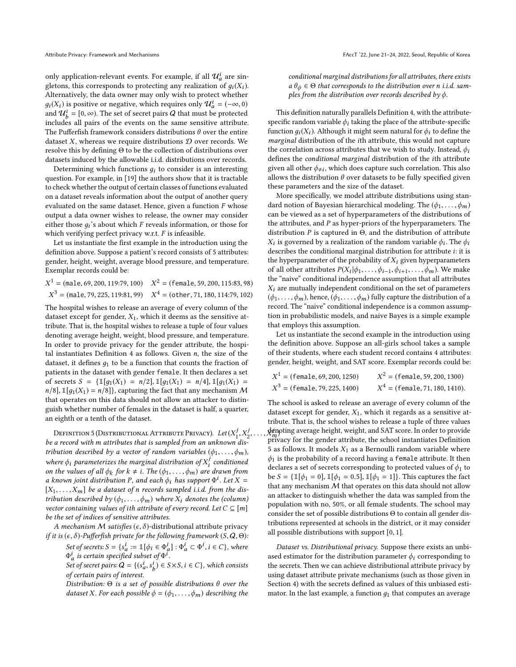only application-relevant events. For example, if all  $\mathcal{U}^i_a$  are singletons, this corresponds to protecting any realization of  $g_i(X_i)$ .<br>Alternatively, the data owner may only wish to protect whether Alternatively, the data owner may only wish to protect whether  $g_i(X_i)$  is positive or negative, which requires only  $\mathcal{U}_a^i = (-\infty, 0)$ <br>and  $\mathcal{U}_a^i = [0, \infty)$ . The set of secret pairs O that must be protected and  $\mathcal{U}_{b}^{i} = [0, \infty)$ . The set of secret pairs Q that must be protected includes all pairs of the gypotes on the same sonsitive ottribute b includes all pairs of the events on the same sensitive attribute. The Pufferfish framework considers distributions  $\theta$  over the entire dataset X, whereas we require distributions  $D$  over records. We resolve this by defining Θ to be the collection of distributions over datasets induced by the allowable i.i.d. distributions over records.

Determining which functions  $q_i$  to consider is an interesting question. For example, in [\[19\]](#page-9-22) the authors show that it is tractable to check whether the output of certain classes of functions evaluated on a dataset reveals information about the output of another query evaluated on the same dataset. Hence, given a function  $F$  whose output a data owner wishes to release, the owner may consider either those  $g_i$ 's about which F reveals information, or those for which verifying perfect privacy wrt F is infeasible. which verifying perfect privacy w.r.t.  $F$  is infeasible.

Let us instantiate the first example in the introduction using the definition above. Suppose a patient's record consists of 5 attributes: gender, height, weight, average blood pressure, and temperature. Exemplar records could be:

 $X^3$  = (male, 79, 225, 119:81, 99)  $X^4$  = (other, 71, 180, 114:79, 102)  $1 = (male, 69, 200, 119.79, 100)$   $X^2 = (female, 59, 200, 115.83, 98)$ 

The hospital wishes to release an average of every column of the dataset except for gender,  $X_1$ , which it deems as the sensitive attribute. That is, the hospital wishes to release a tuple of four values denoting average height, weight, blood pressure, and temperature. In order to provide privacy for the gender attribute, the hospi-tal instantiates Definition [4](#page-3-1) as follows. Given  $n$ , the size of the dataset, it defines  $q_1$  to be a function that counts the fraction of patients in the dataset with gender female. It then declares a set of secrets  $S = {\mathbb{1}[g_1(X_1) = n/2], \mathbb{1}[g_1(X_1) = n/4], \mathbb{1}[g_1(X_1) = n/4]}$  $n/8$ ,  $\mathbb{I}[q_1(X_1) = n/8]$ , capturing the fact that any mechanism M that operates on this data should not allow an attacker to distinguish whether number of females in the dataset is half, a quarter, an eighth or a tenth of the dataset.

<span id="page-4-0"></span>DEFINITION 5 (DISTRIBUTIONAL ATTRIBUTE PRIVACY). Let  $(X_1^j, X_2^j)$ be a record with m attributes that is sampled from an unknown dis-<br>tribution described by a vector of random variables ( $\phi$ ,  $\phi$ ) tribution described by a vector of random variables  $(\phi_1, \ldots, \phi_m)$ , where  $\phi_i$  parameterizes the marginal distribution of  $X_i^j$  conditioned<br>on the values of all  $\phi_1$ , for  $k + i$ , The  $(\phi_1, \ldots, \phi_n)$  are drawn from on the values of all  $\phi_k$  for  $k \neq i$ . The  $(\phi_1, \ldots, \phi_m)$  are drawn from a known joint distribution P, and each  $\phi_1$  has support  $\Phi^i$ , Let  $X =$ a known joint distribution P, and each  $\phi_i$  has support  $\Phi^i$ . Let  $X = \nabla X$ , l he a dataset of n records sampled i i d, from the dis- $[X_1, \ldots, X_m]$  be a dataset of n records sampled i.i.d. from the distribution described by  $(\phi_1, \ldots, \phi_m)$  where  $X_i$  denotes the (column) vector containing values of ith attribute of every record. Let  $C \subseteq [m]$ be the set of indices of sensitive attributes.

A mechanism M satisfies ( $\epsilon$ ,  $\delta$ )-distributional attribute privacy if it is  $(\epsilon, \delta)$ -Pufferfish private for the following framework  $(S, \mathbf{Q}, \Theta)$ :

Set of secrets:  $S = \{s_a^i := \mathbb{I}[\phi_i \in \Phi_a^i] : \Phi_a^i \subset \Phi^i, i \in C\}$ , where<br>  $\Phi_a^i$  is certain specified subset of  $\Phi^i$ .<br>
Set of secret pairs:  $O = \{ (s_a^i, s_a^i) \in S \times S, i \in C\}$ , which consiste

Set of secret pairs:  $Q = \{(s_a^i, s_b^i) \in S \times S, i \in C\}$ , which consists<br>of exitain pairs of interest a of certain pairs of interest.

Distribution:  $\Theta$  is a set of possible distributions  $\theta$  over the dataset X. For each possible  $\phi = (\phi_1, \ldots, \phi_m)$  describing the conditional marginal distributions for all attributes, there exists  $a \theta_{\phi} \in \Theta$  that corresponds to the distribution over n i.i.d. samples from the distribution over records described by  $\phi$ .

This definition naturally parallels Definition [4,](#page-3-1) with the attributespecific random variable  $\phi_i$  taking the place of the attribute-specific function  $q_i(X_i)$ . Although it might seem natural for  $\phi_i$  to define the marginal distribution of the ith attribute, this would not capture the correlation across attributes that we wish to study. Instead,  $\phi_i$ defines the conditional marginal distribution of the ith attribute given all other  $\phi_{\neq i}$ , which does capture such correlation. This also<br>allows the distribution  $\theta$  over datasets to be fully specified given allows the distribution  $\theta$  over datasets to be fully specified given these parameters and the size of the dataset.

More specifically, we model attribute distributions using standard notion of Bayesian hierarchical modeling. The  $(\phi_1, \ldots, \phi_m)$ can be viewed as a set of hyperparameters of the distributions of the attributes, and P as hyper-priors of the hyperparameters. The distribution  $P$  is captured in  $\Theta$ , and the distribution of attribute Figure structure  $\dot{\theta}$  are conditional marginal distribution for attribute *i*: it is<br>describes the conditional marginal distribution for attribute *i*: it is is governed by a realization of the random variable  $\phi_i$ . The  $\phi_i$  cribes the conditional marginal distribution for attribute *i*: it is the hyperparameter of the probability of  $X_i$  given hyperparameters of all other attributes  $P(X_i | \phi_1, \ldots, \phi_{i-1}, \phi_{i+1}, \ldots, \phi_m)$ . We make the "naive" conditional independence assumption that all attributes  $X_i$  are mutually independent conditional on the set of parameters  $(\phi_1, \ldots, \phi_m)$ , hence,  $(\phi_1, \ldots, \phi_m)$  fully capture the distribution of a record. The "naive" conditional independence is a common assumption in probabilistic models, and naive Bayes is a simple example that employs this assumption.

Let us instantiate the second example in the introduction using the definition above. Suppose an all-girls school takes a sample of their students, where each student record contains 4 attributes: gender, height, weight, and SAT score. Exemplar records could be:

| $X^1$ = (female, 69, 200, 1250) | $X^2$ = (female, 59, 200, 1300)  |
|---------------------------------|----------------------------------|
| $X^3$ = (female, 79, 225, 1400) | $X^4$ = (female, 71, 180, 1410). |

,...,  $\mathcal{X}_{m}^{\text{an}}$  bund average height, weight, and SA1 score. In order to provide<br>privacy for the gender attribute, the school instantiates Definition denoting average height, weight, and SAT score. In order to provide The school is asked to release an average of every column of the dataset except for gender,  $X_1$ , which it regards as a sensitive attribute. That is, the school wishes to release a tuple of three values [5](#page-4-0) as follows. It models  $X_1$  as a Bernoulli random variable where  $\phi_1$  is the probability of a record having a female attribute. It then declares a set of secrets corresponding to protected values of  $\phi_1$  to be  $S = {\mathbb{1}[\phi_1 = 0], \mathbb{1}[\phi_1 = 0.5], \mathbb{1}[\phi_1 = 1]}$ . This captures the fact that any mechanism  $M$  that operates on this data should not allow an attacker to distinguish whether the data was sampled from the population with no, 50%, or all female students. The school may consider the set of possible distributions Θ to contain all gender distributions represented at schools in the district, or it may consider all possible distributions with support [0, <sup>1</sup>].

Dataset vs. Distributional privacy. Suppose there exists an unbiased estimator for the distribution parameter  $\phi_i$  corresponding to the secrets. Then we can achieve distributional attribute privacy by using dataset attribute private mechanisms (such as those given in Section [4\)](#page-5-0) with the secrets defined as values of this unbiased estimator. In the last example, a function  $g_1$  that computes an average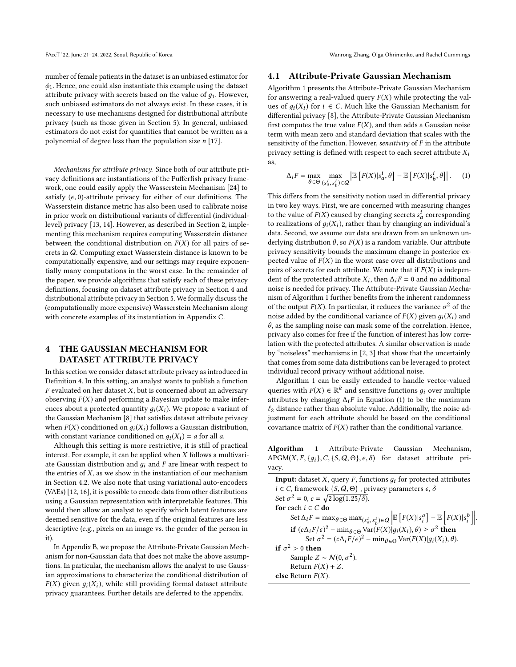FAccT '22, June 21-24, 2022, Seoul, Republic of Korea Wanter Wanter Wanrong Zhang, Olga Ohrimenko, and Rachel Cummings

number of female patients in the dataset is an unbiased estimator for  $\phi_1$ . Hence, one could also instantiate this example using the dataset attribute privacy with secrets based on the value of  $q_1$ . However, such unbiased estimators do not always exist. In these cases, it is necessary to use mechanisms designed for distributional attribute privacy (such as those given in Section [5\)](#page-7-0). In general, unbiased estimators do not exist for quantities that cannot be written as a polynomial of degree less than the population size  $n$  [\[17\]](#page-9-23).

Mechanisms for attribute privacy. Since both of our attribute privacy definitions are instantiations of the Pufferfish privacy framework, one could easily apply the Wasserstein Mechanism [\[24\]](#page-9-11) to satisfy  $(\epsilon, 0)$ -attribute privacy for either of our definitions. The Wasserstein distance metric has also been used to calibrate noise in prior work on distributional variants of differential (individuallevel) privacy [\[13,](#page-9-24) [14\]](#page-9-25). However, as described in Section [2,](#page-2-2) implementing this mechanism requires computing Wasserstein distance between the conditional distribution on  $F(X)$  for all pairs of secrets in Q. Computing exact Wasserstein distance is known to be computationally expensive, and our settings may require exponentially many computations in the worst case. In the remainder of the paper, we provide algorithms that satisfy each of these privacy definitions, focusing on dataset attribute privacy in Section [4](#page-5-0) and distributional attribute privacy in Section [5.](#page-7-0) We formally discuss the (computationally more expensive) Wasserstein Mechanism along with concrete examples of its instantiation in Appendix C.

## <span id="page-5-0"></span>4 THE GAUSSIAN MECHANISM FOR DATASET ATTRIBUTE PRIVACY

In this section we consider dataset attribute privacy as introduced in Definition [4.](#page-3-1) In this setting, an analyst wants to publish a function  $F$  evaluated on her dataset  $X$ , but is concerned about an adversary observing  $F(X)$  and performing a Bayesian update to make inferences about a protected quantity  $q_i(X_i)$ . We propose a variant of the Gaussian Mechanism [\[8\]](#page-9-16) that satisfies dataset attribute privacy when  $F(X)$  conditioned on  $g_i(X_i)$  follows a Gaussian distribution, with constant variance conditioned on  $q_i(X_i) = a$  for all a.

Although this setting is more restrictive, it is still of practical interest. For example, it can be applied when  $X$  follows a multivariate Gaussian distribution and  $q_i$  and F are linear with respect to the entries of  $X$ , as we show in the instantiation of our mechanism in Section [4.2.](#page-6-0) We also note that using variational auto-encoders (VAEs) [\[12,](#page-9-13) [16\]](#page-9-12), it is possible to encode data from other distributions using a Gaussian representation with interpretable features. This would then allow an analyst to specify which latent features are deemed sensitive for the data, even if the original features are less descriptive (e.g., pixels on an image vs. the gender of the person in it).

In Appendix B, we propose the Attribute-Private Gaussian Mechanism for non-Gaussian data that does not make the above assumptions. In particular, the mechanism allows the analyst to use Gaussian approximations to characterize the conditional distribution of  $F(X)$  given  $g_i(X_i)$ , while still providing formal dataset attribute privacy guarantees. Further details are deferred to the appendix.

### <span id="page-5-1"></span>4.1 Attribute-Private Gaussian Mechanism

Algorithm [1](#page-5-2) presents the Attribute-Private Gaussian Mechanism for answering a real-valued query  $F(X)$  while protecting the values of  $q_i(X_i)$  for  $i \in C$ . Much like the Gaussian Mechanism for differential privacy [\[8\]](#page-9-16), the Attribute-Private Gaussian Mechanism first computes the true value  $F(X)$ , and then adds a Gaussian noise term with mean zero and standard deviation that scales with the sensitivity of the function. However, sensitivity of  $F$  in the attribute privacy setting is defined with respect to each secret attribute  $X_i$ as,

<span id="page-5-3"></span>
$$
\Delta_i F = \max_{\theta \in \Theta} \max_{(s_a^i, s_b^i) \in Q} \left| \mathbb{E} \left[ F(X) | s_a^i, \theta \right] - \mathbb{E} \left[ F(X) | s_b^i, \theta \right] \right|.
$$
 (1)

This differs from the sensitivity notion used in differential privacy in two key ways. First, we are concerned with measuring changes to the value of  $F(X)$  caused by changing secrets  $s_d^i$  corresponding<br>to realizations of  $g(X)$  rather than by changing an individual's to realizations of  $g_i(X_i)$ , rather than by changing an individual's<br>data. Second, we assume our data are drawn from an unknown undata. Second, we assume our data are drawn from an unknown underlying distribution  $\theta$ , so  $F(X)$  is a random variable. Our attribute privacy sensitivity bounds the maximum change in posterior expected value of  $F(X)$  in the worst case over all distributions and pairs of secrets for each attribute. We note that if  $F(X)$  is independent of the protected attribute  $X_i$ , then  $\Delta_i F = 0$  and no additional<br>noise is needed for privacy. The Attribute-Private Gaussian Mechanoise is needed for privacy. The Attribute-Private Gaussian Mechanism of Algorithm [1](#page-5-2) further benefits from the inherent randomness of the output  $F(X)$ . In particular, it reduces the variance  $\sigma^2$  of the noise added by the conditional variance of  $F(Y)$  given  $g(Y)$  and noise added by the conditional variance of  $F(X)$  given  $q_i(X_i)$  and  $\theta$ , as the sampling noise can mask some of the correlation. Hence, privacy also comes for free if the function of interest has low correlation with the protected attributes. A similar observation is made by "noiseless" mechanisms in [\[2,](#page-9-17) [3\]](#page-9-18) that show that the uncertainly that comes from some data distributions can be leveraged to protect individual record privacy without additional noise.

Algorithm [1](#page-5-2) can be easily extended to handle vector-valued queries with  $F(X) \in \mathbb{R}^k$  and sensitive functions  $g_i$  over multiple attributes by changing  $\Lambda_i F$  in Equation (1) to be the maximum attributes by changing  $\Delta_i F$  in Equation [\(1\)](#page-5-3) to be the maximum  $\ell_2$  distance rather than absolute value. Additionally, the noise adjustment for each attribute should be based on the conditional covariance matrix of  $F(X)$  rather than the conditional variance.

<span id="page-5-2"></span>Algorithm 1 Attribute-Private Gaussian Mechanism, APGM(X, F, {q<sub>i</sub>}, C, {S, Q,  $\Theta$ },  $\epsilon$ ,  $\delta$ ) for dataset attribute privacy.

**Input:** dataset  $X$ , query  $F$ , functions  $g_i$  for protected attributes  $i \in C$ , framework  $\{S, Q, \Theta\}$ , privacy parameters  $\epsilon$ ,  $\delta$ Set  $\sigma^2 = 0$ ,  $c = \sqrt{2 \log(1.25/\delta)}$ .<br>for each  $i \in C$  do. for each  $i \in C$  do Set  $\Delta_i F = \max_{\theta \in \Theta} \max_{(s_a^i, s_b^i) \in \mathcal{Q}} \left| \sum_{i=1}^{n} \sum_{j=1}^{n} \alpha_j \right|$  $\mathbb{E}\left[F(X)|s_i^a\right] - \mathbb{E}\left[F(X)|s_i^b\right]$ **if**  $(c\Delta_i F/\epsilon)^2 - \min_{\theta \in \Theta} \text{Var}(F(X)|g_i(X_i), \theta) \ge \sigma^2$  **then**<br>Set  $\sigma^2 - (c\Delta F/\epsilon)^2 - \min_{\theta \in \Theta} \text{Var}(F(X)|g_i(X_i), \theta)$  $\big\}$ Set  $\sigma^2 = (c\Delta_i F/\epsilon)^2 - \min_{\theta \in \Theta} \text{Var}(F(X)|g_i(X_i), \theta).$ if  $\sigma^2 > 0$  then<br>Sample 7 Sample  $Z \sim \mathcal{N}(0, \sigma^2)$ .<br>Peturn  $F(Y) + Z$ Return  $F(X) + Z$ . else Return  $F(X)$ .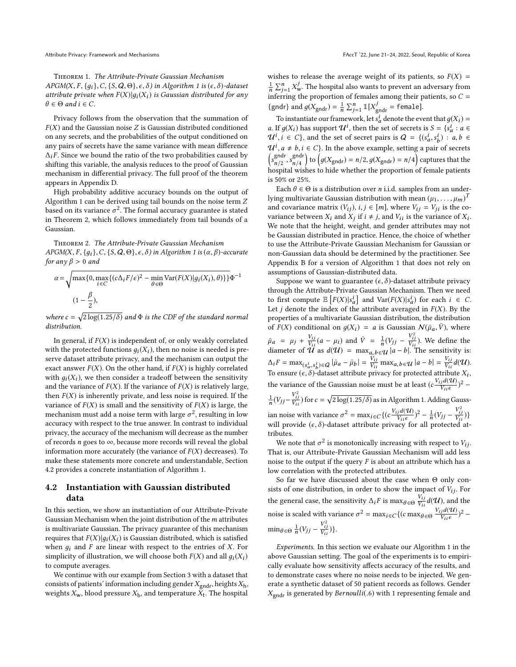Theorem 1. The Attribute-Private Gaussian Mechanism  $APGM(X, F, \{q_i\}, C, \{S, Q, \Theta\}, \epsilon, \delta)$  in Algorithm [1](#page-5-2) is  $(\epsilon, \delta)$ -dataset attribute private when  $F(X)|g_i(X_i)$  is Gaussian distributed for any  $\theta \in \Theta$  and  $i \in C$ .

Privacy follows from the observation that the summation of  $F(X)$  and the Gaussian noise Z is Gaussian distributed conditioned on any secrets, and the probabilities of the output conditioned on any pairs of secrets have the same variance with mean difference  $\Delta_i$ F. Since we bound the ratio of the two probabilities caused by shifting this variable, the analysis reduces to the proof of Gaussian mechanism in differential privacy. The full proof of the theorem appears in Appendix D.

High probability additive accuracy bounds on the output of Algorithm [1](#page-5-2) can be derived using tail bounds on the noise term Z based on its variance  $\sigma^2$ . The formal accuracy guarantee is stated<br>in Theorem 2, which follows immediately from tail bounds of a in Theorem [2,](#page-6-1) which follows immediately from tail bounds of a Gaussian.

<span id="page-6-1"></span>Theorem 2. The Attribute-Private Gaussian Mechanism APGM(X, F, {q<sub>i</sub> }, C, {S, Q,  $\Theta$ },  $\epsilon$ ,  $\delta$ ) in Algorithm [1](#page-5-2) is  $(\alpha, \beta)$ -accurate for any  $\beta > 0$  and

$$
\alpha = \sqrt{\max\{0, \max_{i \in C} \{ (c\Delta_i F/\epsilon)^2 - \min_{\theta \in \Theta} \text{Var}(F(X)|g_i(X_i), \theta) \} \} \Phi^{-1}}
$$
  
(1 -  $\frac{\beta}{2}$ ),

where  $c = \sqrt{2 \log(1.25/\delta)}$  and  $\Phi$  is the CDF of the standard normal distribution distribution.

In general, if  $F(X)$  is independent of, or only weakly correlated with the protected functions  $q_i(X_i)$ , then no noise is needed is preserve dataset attribute privacy, and the mechanism can output the exact answer  $F(X)$ . On the other hand, if  $F(X)$  is highly correlated with  $q_i(X_i)$ , we then consider a tradeoff between the sensitivity and the variance of  $F(X)$ . If the variance of  $F(X)$  is relatively large, then  $F(X)$  is inherently private, and less noise is required. If the variance of  $F(X)$  is small and the sensitivity of  $F(X)$  is large, the mechanism must add a noise term with large  $\sigma^2$ , resulting in low<br>accuracy with respect to the true answer. In contrast to individual accuracy with respect to the true answer. In contrast to individual privacy, the accuracy of the mechanism will decrease as the number of records *n* goes to  $\infty$ , because more records will reveal the global information more accurately (the variance of  $F(X)$  decreases). To make these statements more concrete and understandable, Section [4.2](#page-6-0) provides a concrete instantiation of Algorithm [1.](#page-5-2)

## <span id="page-6-0"></span>4.2 Instantiation with Gaussian distributed data

In this section, we show an instantiation of our Attribute-Private Gaussian Mechanism when the joint distribution of the  $m$  attributes is multivariate Gaussian. The privacy guarantee of this mechanism requires that  $F(X)|q_i(X_i)$  is Gaussian distributed, which is satisfied when  $g_i$  and F are linear with respect to the entries of X. For simplicity of illustration, we will choose both  $F(X)$  and all  $g_i(X_i)$ to compute averages.

We continue with our example from Section [3](#page-3-0) with a dataset that consists of patients' information including gender  $X_{\text{endr}}$ , heights  $X_{\text{h}}$ , weights  $X_{\mathbf{w}}$ , blood pressure  $X_{\mathbf{b}}$ , and temperature  $\tilde{X}_{\mathbf{t}}$ . The hospital wishes to release the average weight of its patients, so  $F(X) =$  $\frac{1}{n} \sum_{j=1}^{n} X_{\text{w}}^{j}$ . The hospital also wants to prevent an adversary from  $\frac{1}{n} \sum_{j=1}^{n} X_w$ . The hospital also wants to prevent an adversary from<br>inferring the proportion of females among their patients, so  $C =$ <br> $\begin{bmatrix} \text{grad } g(X) & \text{if } \sum_{k=1}^{n} |I(X)| & \text{if } \text{grad } g(X) \end{bmatrix}$ {gndr} and  $g(X_{\text{gndr}}) = \frac{1}{n} \sum_{j=1}^{n} \mathbb{I}[X_{\text{gndr}}^{j} = \text{female}].$ 

To instantiate our framework, let  $s_d^i$  denote the event that  $g(X_i) =$ <br>If  $g(X_i)$  has support  $JI^i$  then the set of secrets is  $S = \{s_i^i : g \in I\}$ a. If  $g(X_i)$  has support  $\mathcal{U}^i$ , then the set of secrets is  $S = \{s_a^i : a \in \mathcal{U} \}$  and the set of secret pairs is  $Q = \{s_a^i : a \in \mathcal{U} \}$  is  $a, b \in \mathcal{U}$  $\mathcal{U}^i$ ,  $i \in C$ }, and the set of secret pairs is  $Q = \{(s_a^i, s_b^i) : a, b \in \mathbb{R}^d : a \in C \}$  $u^i$ ,  $a \neq b$ ,  $i \in C$ . In the above example, setting a pair of secrets  $\begin{pmatrix} \text{end }$  and  $\begin{pmatrix} \text{end }$ ĺ gndr<br>  $n/2$ , s<br>
spital  $g_{n/4}^{(g)}$  to  $(g(X_{\text{gndr}}) = n/2, g(X_{\text{gndr}}) = n/4)$  captures that the wishes to hide whether the proportion of female patients hospital wishes to hide whether the proportion of female patients is 50% or 25%.

Each  $\theta \in \Theta$  is a distribution over *n* i.i.d. samples from an underlying multivariate Gaussian distribution with mean  $(\mu_1, \dots, \mu_m)^T$ <br>and covariance matrix  $(V \cdot)$ ,  $i \in [m]$ , where  $V \cdot - V \cdot$  is the co and covariance matrix  $(V_{ij})$ ,  $i, j \in [m]$ , where  $V_{ij} = V_{ji}$  is the covariance between  $X_i$  and  $X_j$  if  $i \neq j$ , and  $V_{ii}$  is the variance of  $X_i$ .<br>We note that the beight, weight, and gender attributes may not We note that the height, weight, and gender attributes may not be Gaussian distributed in practice. Hence, the choice of whether to use the Attribute-Private Gaussian Mechanism for Gaussian or non-Gaussian data should be determined by the practitioner. See Appendix B for a version of Algorithm [1](#page-5-2) that does not rely on assumptions of Gaussian-distributed data.

Suppose we want to guarantee ( $\epsilon$ ,  $\delta$ )-dataset attribute privacy through the Attribute-Private Gaussian Mechanism. Then we need to first compute  $\mathbb{E}\left[F(X)|s_d^i\right]$  and  $\text{Var}(F(X)|s_d^i)$  for each  $i \in C$ .<br>Let *i* denote the index of the attribute averaged in  $F(X)$ . By the Let *j* denote the index of the attribute averaged in  $F(X)$ . By the properties of a multivariate Gaussian distribution, the distribution properties of a multivariate Gaussian distribution, the distribution of  $F(X)$  conditional on  $g(X_i) = a$  is Gaussian  $\mathcal{N}(\bar{\mu}_a, \bar{V})$ , where  $\bar{\mu}_a = \mu_j + \frac{V_{ij}}{V_{ii}}$ <br>diameter of *d l*  $\frac{V_{ij}}{V_{ii}}(a - \mu_i)$  and  $\bar{V} = \frac{1}{n}$ <br>
(*I* as  $d(1) = \max_{i \in \mathcal{I}}$  $\frac{1}{n}(V_{jj} - \frac{1}{V})$ 2 i j  $\int$ <sup>Vii</sup> ). We define the diameter of  $\hat{U}$  as  $d(U) = \max_{a,b \in \mathcal{U}} |a-b|$ . The sensitivity is:  $\Delta_i F = \max_{(s_a^i, s_b^i) \in Q} |\bar{\mu}_a - \bar{\mu}_b| = \frac{V_{ij}}{V_{ii}}$  $\frac{v_{ii}}{v_{ii}}$  $\max_{a,b \in \mathcal{U}} |a-b| = \frac{V_{ij}}{V_{ii}}$  $\frac{V_{ij}}{V_{ii}}d(\mathcal{U}).$ ibuto Y To ensure  $(\epsilon, \delta)$ -dataset attribute privacy for protected attribute  $X_i$ , the variance of the Gaussian noise must be at least  $(c \frac{V_{ij} d(\mathcal{U})}{V_{ii} \epsilon})^2$  –  $\frac{1}{n}(V_{jj}-\frac{V_{ij}^2}{V_{ii}})$  for  $c = \sqrt{2 \log(1.25/\delta)}$  as in Algorithm 1. Adding  $n \times J$   $V_{ii}$  $\frac{V_i^2}{V_i^2}$ ) for  $c = \sqrt{2 \log(1.25/\delta)}$  as in Algorithm [1.](#page-5-2) Adding Gaussian noise with variance  $\sigma^2 = \max_{i \in C} \{ (c \frac{V_{ij} d(\mathcal{U})}{V_{ij} \epsilon})^2 - \frac{1}{n} (V_{jj} - \frac{V}{V_{ij} \epsilon})^2 \}$ will provide  $(\epsilon, \delta)$ -dataset attribute privacy for all protected at- $\frac{ij}{\sqrt{2}})\}$ tributes.

We note that  $\sigma^2$  is monotonically increasing with respect to  $V_{ij}$ , at is, our Attribute-Private Gaussian Mechanism will add less That is, our Attribute-Private Gaussian Mechanism will add less noise to the output if the query  $F$  is about an attribute which has a low correlation with the protected attributes.

So far we have discussed about the case when Θ only consists of one distribution, in order to show the impact of  $V_{ij}$ . For the general case, the sensitivity  $\Delta_i F$  is  $\max_{\theta \in \Theta} \frac{V_{ij}}{V_{ii}} d(\mathcal{U})$ , and the noise is scaled with variance  $\sigma^2 = \max_{i \in C} \{ (c \max_{\theta \in \Theta} \frac{V_{ij} d(\mathcal{U})}{V_{ii} \epsilon} \}$  $\frac{j d(\mathcal{U})}{V_{ii} \epsilon}$ <sup>2</sup> –  $\min_{\theta \in \Theta} \frac{1}{n}$  $\frac{1}{n}(V_{jj} - \frac{1}{V})$ 2 i j Vi i )}.

Experiments. In this section we evaluate our Algorithm [1](#page-5-2) in the above Gaussian setting. The goal of the experiments is to empirically evaluate how sensitivity affects accuracy of the results, and to demonstrate cases where no noise needs to be injected. We generate a synthetic dataset of 50 patient records as follows. Gender  $X_{\text{gndr}}$  is generated by Bernoulli(.6) with 1 representing female and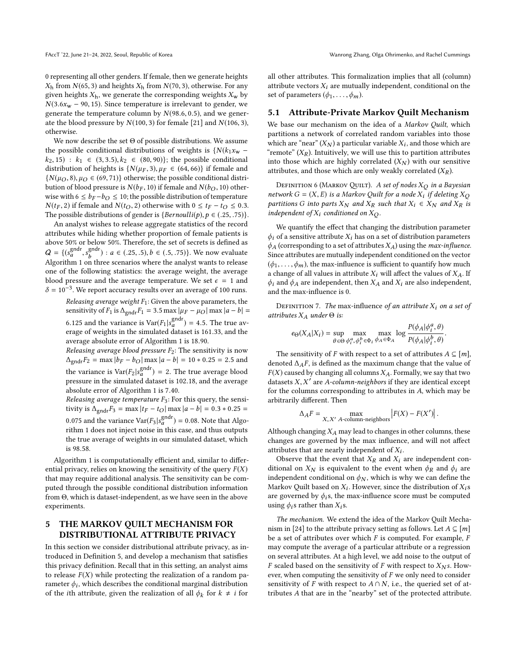0 representing all other genders. If female, then we generate heights  $X_h$  from  $N(65, 3)$  and heights  $X_h$  from  $N(70, 3)$ , otherwise. For any given heights  $X_h$ , we generate the corresponding weights  $X_w$  by  $N(3.6x_w - 90, 15)$ . Since temperature is irrelevant to gender, we generate the temperature column by  $N(98.6, 0.5)$ , and we generate the blood pressure by  $N(100, 3)$  for female [\[21\]](#page-9-26) and  $N(106, 3)$ , otherwise.

We now describe the set Θ of possible distributions. We assume the possible conditional distributions of weights is  $\{N(k_1x_w$  $k_2$ , 15) :  $k_1 \in (3, 3.5), k_2 \in (80, 90)$ ; the possible conditional distribution of heights is  $\{N(\mu_F, 3), \mu_F \in (64, 66)\}\$ if female and  ${N(\mu_O, 8), \mu_O \in (69, 71)}$  otherwise; the possible conditional distribution of blood pressure is  $N(b_F, 10)$  if female and  $N(b_O, 10)$  otherwise with  $6 \le b_F - b_O \le 10$ ; the possible distribution of temperature  $N(t_F, 2)$  if female and  $N(t_O, 2)$  otherwise with  $0 \le t_F - t_O \le 0.3$ . The possible distributions of gender is  $\{Bernoulli(p), p \in (.25, .75)\}.$ 

An analyst wishes to release aggregate statistics of the record attributes while hiding whether proportion of female patients is above 50% or below 50%. Therefore, the set of secrets is defined as  $Q = \{(s_a^{\text{gndr}}, s_b^{\text{gndr}}) : a \in (.25, .5), b \in (.5, .75)\}$ . We now evaluate  $\alpha$   $(\alpha_a, \beta_b)$  or  $\alpha = (\alpha_a, \alpha_b)$  or  $\alpha$  is  $(\alpha_b, \alpha_b)$ . one of the following statistics: the average weight, the average blood pressure and the average temperature. We set  $\epsilon = 1$  and  $\delta = 10^{-3}$ . We report accuracy results over an average of 100 runs.

Releasing average weight  $F_1$ : Given the above parameters, the sensitivity of  $F_1$  is  $\Delta_{\text{gndr}}F_1 = 3.5 \text{ max } |\mu_F - \mu_O| \text{ max } |a - b|$ 6.125 and the variance is  $Var(F_1|s_a^{\text{gndr}}) = 4.5$ . The true av-<br>erage of weights in the simulated dataset is 161.33, and the erage of weights in the simulated dataset is 161.33, and the<br>average absolute error of Algorithm 1 is 18.90 average absolute error of Algorithm [1](#page-5-2) is <sup>18</sup>.90.

Releasing average blood pressure  $F_2$ : The sensitivity is now  $\Delta_{\text{gndr}}F_2 = \max |b_F - b_O| \max |a - b| = 10 * 0.25 = 2.5$  and the variance is  $\text{Var}(F_2 | s^{gndr}_{a}) = 2$ . The true average blood<br>pressure in the simulated dataset is 102.18, and the average pressure in the simulated dataset is 102.18, and the average<br>absolute error of Algorithm 1 is 7.40 absolute error of Algorithm [1](#page-5-2) is <sup>7</sup>.40.

Releasing average temperature  $F_3$ : For this query, the sensitivity is  $\Delta_{\text{gndr}}F_3 = \max |t_F - t_O| \max |a - b| = 0.3 * 0.25 =$ 0.075 and the variance  $Var(F_3|s_a^{\text{gndr}}) = 0.08$ . Note that Algorithm 1 does not inject noise in this case, and thus outputs rithm [1](#page-5-2) does not inject noise in this case, and thus outputs the true average of weights in our simulated dataset, which is <sup>98</sup>.58.

Algorithm [1](#page-5-2) is computationally efficient and, similar to differential privacy, relies on knowing the sensitivity of the query  $F(X)$ that may require additional analysis. The sensitivity can be computed through the possible conditional distribution information from Θ, which is dataset-independent, as we have seen in the above experiments.

## <span id="page-7-0"></span>5 THE MARKOV QUILT MECHANISM FOR DISTRIBUTIONAL ATTRIBUTE PRIVACY

In this section we consider distributional attribute privacy, as introduced in Definition [5,](#page-4-0) and develop a mechanism that satisfies this privacy definition. Recall that in this setting, an analyst aims to release  $F(X)$  while protecting the realization of a random parameter  $\phi_i$ , which describes the conditional marginal distribution<br>of the *i*th attribute given the realization of all  $\phi_i$ , for  $k \neq i$  for of the *i*th attribute, given the realization of all  $\phi_k$  for  $k \neq i$  for

all other attributes. This formalization implies that all (column) attribute vectors  $X_i$  are mutually independent, conditional on the set of parameters  $(\phi_1, \ldots, \phi_m)$ .

### 5.1 Attribute-Private Markov Quilt Mechanism

We base our mechanism on the idea of a Markov Quilt, which partitions a network of correlated random variables into those which are "near"  $(X_N)$  a particular variable  $X_i$ , and those which are "remote"  $(Y_n)$ . Intuitively we will use this to partition attributes "remote"  $(X_R)$ . Intuitively, we will use this to partition attributes into those which are highly correlated  $(X_N)$  with our sensitive attributes, and those which are only weakly correlated  $(X_R)$ .

DEFINITION 6 (MARKOV QUILT). A set of nodes  $X_Q$  in a Bayesian network  $G = (X, E)$  is a Markov Quilt for a node  $X_i$  if deleting  $X_Q$ <br>partitions G into parts  $X_{\lambda}$  and  $X_Q$  such that  $X_i \in X_{\lambda}$  and  $X_Q$  is partitions G into parts  $X_N$  and  $X_R$  such that  $X_i \in X_N$  and  $X_R$  is independent of  $X_i$  conditioned on  $X_Q$ .

We quantify the effect that changing the distribution parameter  $\phi_i$  of a sensitive attribute  $X_i$  has on a set of distribution parameters  $\phi_A$  (corresponding to a set of attributes  $X_A$ ) using the *max-influence*. Since attributes are mutually independent conditioned on the vector  $(\phi_1, \ldots, \phi_m)$ , the max-influence is sufficient to quantify how much a change of all values in attribute  $X_i$  will affect the values of  $X_A$ . If  $\phi_i$  and  $\phi_A$  are independent, then  $X_A$  and  $X_i$  are also independent, and the max-influence is 0.

DEFINITION 7. The max-influence of an attribute  $X_i$  on a set of attributes  $X_A$  under  $\Theta$  is:

$$
e_{\Theta}(X_A|X_i) = \sup_{\theta \in \Theta} \max_{\phi_i^a, \phi_i^b \in \Phi_i} \max_{\phi_A \in \Phi_A} \log \frac{P(\phi_A|\phi_i^a, \theta)}{P(\phi_A|\phi_i^b, \theta)}
$$

The sensitivity of F with respect to a set of attributes  $A \subseteq [m]$ ,<br>noted  $\Lambda$  is is defined as the maximum change that the value of denoted  $\Delta_A F$ , is defined as the maximum change that the value of  $F(X)$  caused by changing all columns  $X_A$ . Formally, we say that two datasets  $X, X'$  are A-column-neighbors if they are identical except<br>for the columns corresponding to attributes in A which may be for the columns corresponding to attributes in A, which may be arbitrarily different. Then

$$
\Delta_A F = \max_{X, X' \ A\text{-column-neighbors}} |F(X) - F(X')|.
$$

Although changing  $X_A$  may lead to changes in other columns, these changes are governed by the max influence, and will not affect attributes that are nearly independent of  $X_i$ .<br>Observe that the event that  $X_i$  and  $X_j$ .

Observe that the event that  $X_R$  and  $X_i$  are independent conditional on  $X_N$  is equivalent to the event when  $\phi_R$  and  $\phi_i$  are independent conditional on  $\phi_N$ , which is why we can define the Markov Quilt based on  $X_i$ . However, since the distribution of  $X_i$ s are governed by  $\phi_i$ s, the max-influence score must be computed using  $\phi_i$ s rather than  $X_i$ s.

The mechanism. We extend the idea of the Markov Quilt Mecha-nism in [\[24\]](#page-9-11) to the attribute privacy setting as follows. Let  $A \subseteq [m]$ be a set of attributes over which  $F$  is computed. For example,  $F$ may compute the average of a particular attribute or a regression on several attributes. At a high level, we add noise to the output of F scaled based on the sensitivity of F with respect to  $X_N$ s. However, when computing the sensitivity of F we only need to consider sensitivity of F with respect to  $A \cap N$ , i.e., the queried set of attributes A that are in the "nearby" set of the protected attribute.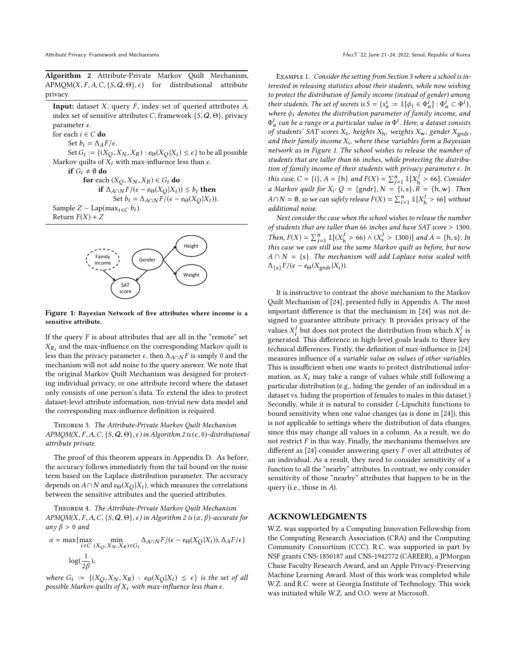<span id="page-8-0"></span>Algorithm 2 Attribute-Private Markov Quilt Mechanism,  $A P MOM(X, F, A, C, \{S, Q, \Theta\}, \epsilon)$  for distributional attribute privacy.

Input: dataset  $X$ , query  $F$ , index set of queried attributes  $A$ , index set of sensitive attributes C, framework  $\{S, Q, \Theta\}$ , privacy parameter  $\epsilon$ .

for each  $i \in C$  do

Set  $b_i = \Delta_A F/\epsilon$ .

Set  $G_i := \{ (X_Q, X_N, X_R) : e_{\Theta}(X_Q | X_i) \leq \epsilon \}$  to be all possible<br>covariable of  $\hat{X}$ , with max-influence less than  $\epsilon$ Markov quilts of  $X_i$  with max-influence less than  $\epsilon$ .

if  $G_i \neq \emptyset$  do

for each  $(X_Q, X_N, X_R) \in G_i$  do if  $\Delta_{A\cap N}F/(\epsilon - e_{\Theta}(X_O|X_I)) \leq b_i$  then Set  $b_i = \Delta_{A \cap N} F/(\epsilon - e_{\Theta}(X_O|X_i)).$ 

Sample 
$$
Z \sim \text{Lap}(\max_{i \in C} b_i)
$$
.  
Return  $F(X) + Z$ 

<span id="page-8-1"></span>Return  $F(X) + Z$ 



#### Figure 1: Bayesian Network of five attributes where income is a sensitive attribute.

If the query  $F$  is about attributes that are all in the "remote" set  $\Delta_{R_i}$  and the max inhactive of the corresponding markov quite is<br>less than the privacy parameter  $\epsilon$ , then  $\Delta_{A \cap N} F$  is simply 0 and the  $X_{R_i}$  and the max-influence on the corresponding Markov quilt is mechanism will not add noise to the query answer. We note that the original Markov Quilt Mechanism was designed for protecting individual privacy, or one attribute record where the dataset only consists of one person's data. To extend the idea to protect dataset-level attribute information, non-trivial new data model and the corresponding max-influence definition is required.

Theorem 3. The Attribute-Private Markov Quilt Mechanism  $APMQM(X, F, A, C, \{S, Q, \Theta\}, \epsilon)$  in Algorithm [2](#page-8-0) is  $(\epsilon, 0)$ -distributional attribute private.

The proof of this theorem appears in Appendix D. As before, the accuracy follows immediately from the tail bound on the noise term based on the Laplace distribution parameter. The accuracy depends on  $A \cap N$  and  $e_{\Theta}(X_Q | X_i)$ , which measures the correlations between the sensitive attributes and the queried attributes.

Theorem 4. The Attribute-Private Markov Quilt Mechanism APMQM(X, F, A, C, {S, Q,  $\Theta$ },  $\epsilon$ ) in Algorithm [2](#page-8-0) is  $(\alpha, \beta)$ -accurate for any  $\beta > 0$  and

$$
\alpha = \max \{ \max_{i \in C} \min_{(X_Q, X_N, X_R) \in G_i} \Delta_{A \cap N} F / (\epsilon - e_{\Theta}(X_Q | X_i)), \Delta_A F / \epsilon \}
$$
  

$$
\log(\frac{1}{2\beta}),
$$

where  $G_i := \{(X_Q, X_N, X_R) : e_{\Theta}(X_Q | X_i) \leq \epsilon\}$  is the set of all nossible Markov quilts of X, with max-influence less than  $\epsilon$ possible Markov quilts of  $X_i$  with max-influence less than  $\epsilon$ .

Example 1. Consider the setting from Section [3](#page-3-0) where a school is interested in releasing statistics about their students, while now wishing to protect the distribution of family income (instead of gender) among their students. The set of secrets is  $S = \{s_a^i := \mathbb{I}[\phi_i \in \Phi_a^i] : \Phi_a^i \subset \Phi^i\}$ ,<br>where  $\phi_i$  denotes the distribution parameter of family income, and where  $\phi_i$  denotes the distribution parameter of family income, and<br> $\Phi^i$  can be a range or a particular value in  $\Phi^i$ . Here a dataset consiste  $\sigma$  students' SAT scores  $X_s$ , heights  $X_h$ , weights  $X_w$ , gender  $X_{\text{gndr}}$ , and their family income  $X_s$ , where these variables form a Bayesian  $\frac{1}{a}$  can be a range or a particular value in  $\Phi^1$ . Here, a dataset consists<br>f students' SAT scores X – beights X – weights X – gender X – . and their family income  $X_i$ , where these variables form a Bayesian<br>network as in Figure 1. The school wishes to release the number of network as in Figure [1.](#page-8-1) The school wishes to release the number of students that are taller than 66 inches, while protecting the distribution of family income of their students with privacy parameter  $\epsilon$ . In this case,  $C = \{i\}$ ,  $A = \{h\}$  and  $F(X) = \sum_{j=1}^{n} \mathbb{I}[X_0^j > 66]$ . Consider a Markov quilt for  $X : O = \{andr\}$ ,  $N = \{i, s\}$ ,  $R = \{h, w\}$ . Then a Markov quilt for  $X_i: Q = \{\text{gndr}\}, N = \{i, s\}, R = \{h, w\}.$  Then<br> $A \odot N = \emptyset$  as  $x_i$  as a set denotes  $E(Y) = \sum_{i=1}^{n} 1 \cdot [x_i^j] \times (x_i^j)$  is the sub- $A \cap N = \emptyset$ , so we can safely release  $F(X) = \sum_{i=1}^{n} \mathbb{1}[X_{h}^{j} > 66]$  without additional noise. additional noise.

Next consider the case when the school wishes to release the number of students that are taller than <sup>66</sup> inches and have SAT score > <sup>1300</sup>. Then,  $F(X) = \sum_{j=1}^{n} \mathbb{I}[(X_0^j > 66) \wedge (X_5^j > 1300)]$  and  $A = \{h, s\}$ . In this case we get will use the same Markov quilt so hefore, but now Then,  $F(X) = \sum_{j=1}^n \mathbb{I}[(X_j^2) \times 66) \wedge (X_j^2 > 1300)]$  and  $A = \{h, s\}$ . In this case we can still use the same Markov quilt as before, but now  $A \cap N = \{s\}$ . The mechanism will add Laplace noise scaled with  $\Delta_{\{s\}}F/(\epsilon - e_{\Theta}(X_{\text{gndr}}|X_i)).$ 

It is instructive to contrast the above mechanism to the Markov Quilt Mechanism of [\[24\]](#page-9-11), presented fully in Appendix A. The most important difference is that the mechanism in [\[24\]](#page-9-11) was not designed to guarantee attribute privacy. It provides privacy of the values  $X_i^j$  but does not protect the distribution from which  $X_i^j$  is<br>generated. This difference in high-layel goals leads to three key generated. This difference in high-level goals leads to three key technical differences. Firstly, the definition of max-influence in [\[24\]](#page-9-11) measures influence of a variable value on values of other variables. This is insufficient when one wants to protect distributional information, as  $X_i$  may take a range of values while still following a particular distribution (e.g., hiding the gender of an individual in a dataset vs. hiding the proportion of females to males in this dataset.) Secondly, while it is natural to consider L-Lipschitz functions to bound sensitivity when one value changes (as is done in [\[24\]](#page-9-11)), this is not applicable to settings where the distribution of data changes, since this may change all values in a column. As a result, we do not restrict  $F$  in this way. Finally, the mechanisms themselves are different as [\[24\]](#page-9-11) consider answering query F over all attributes of an individual. As a result, they need to consider sensitivity of a function to all the "nearby" attributes. In contrast, we only consider sensitivity of those "nearby" attributes that happen to be in the query (i.e., those in A).

### ACKNOWLEDGMENTS

W.Z. was supported by a Computing Innovation Fellowship from the Computing Research Association (CRA) and the Computing Community Consortium (CCC). R.C. was supported in part by NSF grants CNS-1850187 and CNS-1942772 (CAREER), a JPMorgan Chase Faculty Research Award, and an Apple Privacy-Preserving Machine Learning Award. Most of this work was completed while W.Z. and R.C. were at Georgia Institute of Technology. This work was initiated while W.Z. and O.O. were at Microsoft.